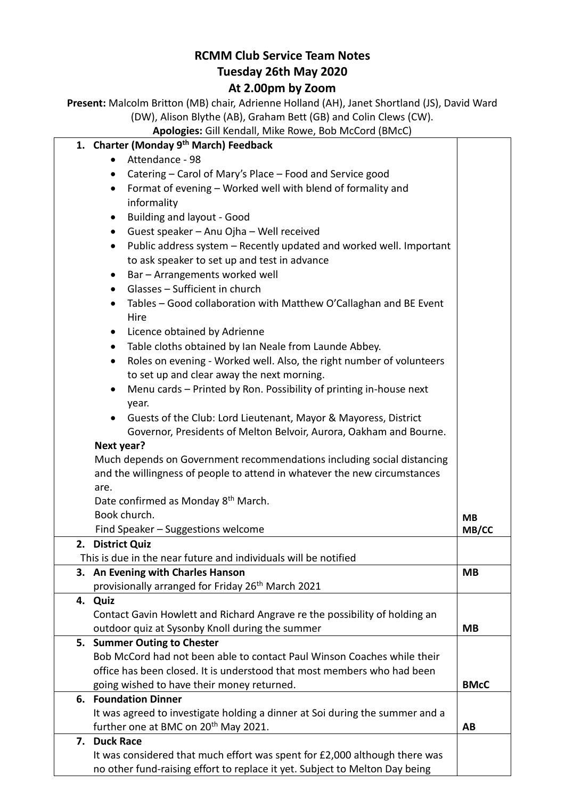## **RCMM Club Service Team Notes Tuesday 26th May 2020**

## **At 2.00pm by Zoom**

**Present:** Malcolm Britton (MB) chair, Adrienne Holland (AH), Janet Shortland (JS), David Ward (DW), Alison Blythe (AB), Graham Bett (GB) and Colin Clews (CW).

**Apologies:** Gill Kendall, Mike Rowe, Bob McCord (BMcC)

| <b>Apologies:</b> Gill Kendall, Mike Rowe, Bob McCord (BMcC)                      |             |
|-----------------------------------------------------------------------------------|-------------|
| 1. Charter (Monday 9th March) Feedback                                            |             |
| Attendance - 98                                                                   |             |
| Catering – Carol of Mary's Place – Food and Service good<br>$\bullet$             |             |
| Format of evening - Worked well with blend of formality and<br>$\bullet$          |             |
| informality                                                                       |             |
| <b>Building and layout - Good</b><br>$\bullet$                                    |             |
| Guest speaker - Anu Ojha - Well received<br>$\bullet$                             |             |
| Public address system - Recently updated and worked well. Important<br>$\bullet$  |             |
| to ask speaker to set up and test in advance                                      |             |
| Bar - Arrangements worked well<br>$\bullet$                                       |             |
| Glasses - Sufficient in church<br>$\bullet$                                       |             |
| Tables - Good collaboration with Matthew O'Callaghan and BE Event<br>$\bullet$    |             |
| Hire                                                                              |             |
| Licence obtained by Adrienne<br>$\bullet$                                         |             |
| Table cloths obtained by Ian Neale from Launde Abbey.<br>$\bullet$                |             |
| Roles on evening - Worked well. Also, the right number of volunteers<br>$\bullet$ |             |
| to set up and clear away the next morning.                                        |             |
| Menu cards - Printed by Ron. Possibility of printing in-house next                |             |
| year.                                                                             |             |
| Guests of the Club: Lord Lieutenant, Mayor & Mayoress, District                   |             |
| Governor, Presidents of Melton Belvoir, Aurora, Oakham and Bourne.                |             |
| Next year?                                                                        |             |
| Much depends on Government recommendations including social distancing            |             |
| and the willingness of people to attend in whatever the new circumstances         |             |
| are.                                                                              |             |
| Date confirmed as Monday 8 <sup>th</sup> March.                                   |             |
| Book church.                                                                      | <b>MB</b>   |
| Find Speaker - Suggestions welcome                                                | MB/CC       |
| 2. District Quiz                                                                  |             |
| This is due in the near future and individuals will be notified                   |             |
| 3. An Evening with Charles Hanson                                                 | <b>MB</b>   |
| provisionally arranged for Friday 26 <sup>th</sup> March 2021                     |             |
| 4. Quiz                                                                           |             |
| Contact Gavin Howlett and Richard Angrave re the possibility of holding an        |             |
| outdoor quiz at Sysonby Knoll during the summer                                   | <b>MB</b>   |
| 5. Summer Outing to Chester                                                       |             |
| Bob McCord had not been able to contact Paul Winson Coaches while their           |             |
| office has been closed. It is understood that most members who had been           |             |
| going wished to have their money returned.<br><b>6. Foundation Dinner</b>         | <b>BMcC</b> |
| It was agreed to investigate holding a dinner at Soi during the summer and a      |             |
| further one at BMC on 20 <sup>th</sup> May 2021.                                  | AB          |
| 7. Duck Race                                                                      |             |
| It was considered that much effort was spent for £2,000 although there was        |             |
| no other fund-raising effort to replace it yet. Subject to Melton Day being       |             |
|                                                                                   |             |